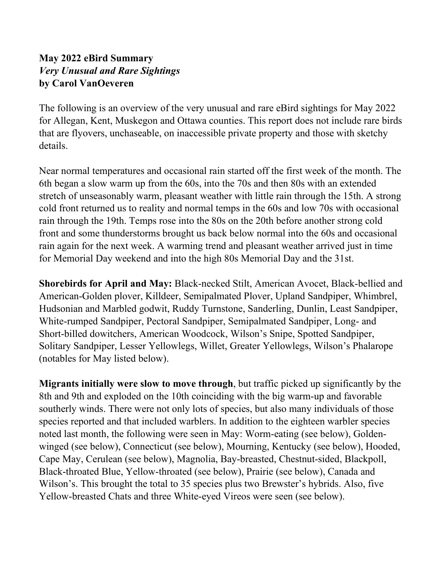## **May 2022 eBird Summary**  *Very Unusual and Rare Sightings*  **by Carol VanOeveren**

The following is an overview of the very unusual and rare eBird sightings for May 2022 for Allegan, Kent, Muskegon and Ottawa counties. This report does not include rare birds that are flyovers, unchaseable, on inaccessible private property and those with sketchy details.

Near normal temperatures and occasional rain started off the first week of the month. The 6th began a slow warm up from the 60s, into the 70s and then 80s with an extended stretch of unseasonably warm, pleasant weather with little rain through the 15th. A strong cold front returned us to reality and normal temps in the 60s and low 70s with occasional rain through the 19th. Temps rose into the 80s on the 20th before another strong cold front and some thunderstorms brought us back below normal into the 60s and occasional rain again for the next week. A warming trend and pleasant weather arrived just in time for Memorial Day weekend and into the high 80s Memorial Day and the 31st.

**Shorebirds for April and May:** Black-necked Stilt, American Avocet, Black-bellied and American-Golden plover, Killdeer, Semipalmated Plover, Upland Sandpiper, Whimbrel, Hudsonian and Marbled godwit, Ruddy Turnstone, Sanderling, Dunlin, Least Sandpiper, White-rumped Sandpiper, Pectoral Sandpiper, Semipalmated Sandpiper, Long- and Short-billed dowitchers, American Woodcock, Wilson's Snipe, Spotted Sandpiper, Solitary Sandpiper, Lesser Yellowlegs, Willet, Greater Yellowlegs, Wilson's Phalarope (notables for May listed below).

**Migrants initially were slow to move through**, but traffic picked up significantly by the 8th and 9th and exploded on the 10th coinciding with the big warm-up and favorable southerly winds. There were not only lots of species, but also many individuals of those species reported and that included warblers. In addition to the eighteen warbler species noted last month, the following were seen in May: Worm-eating (see below), Goldenwinged (see below), Connecticut (see below), Mourning, Kentucky (see below), Hooded, Cape May, Cerulean (see below), Magnolia, Bay-breasted, Chestnut-sided, Blackpoll, Black-throated Blue, Yellow-throated (see below), Prairie (see below), Canada and Wilson's. This brought the total to 35 species plus two Brewster's hybrids. Also, five Yellow-breasted Chats and three White-eyed Vireos were seen (see below).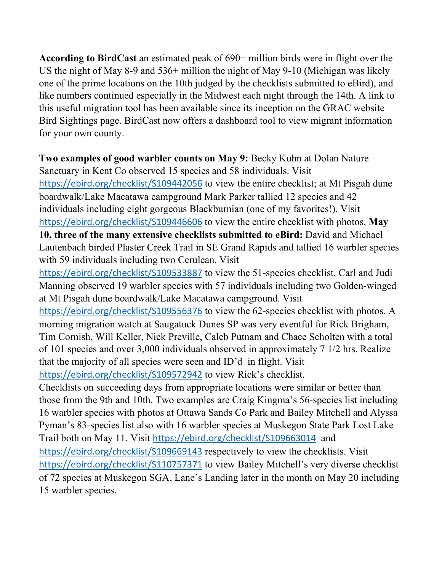**According to BirdCast** an estimated peak of 690+ million birds were in flight over the US the night of May 8-9 and 536+ million the night of May 9-10 (Michigan was likely one of the prime locations on the 10th judged by the checklists submitted to eBird), and like numbers continued especially in the Midwest each night through the 14th. A link to this useful migration tool has been available since its inception on the GRAC website Bird Sightings page. BirdCast now offers a dashboard tool to view migrant information for your own county.

**Two examples of good warbler counts on May 9:** Becky Kuhn at Dolan Nature Sanctuary in Kent Co observed 15 species and 58 individuals. Visit https://ebird.org/checklist/S109442056 to view the entire checklist; at Mt Pisgah dune boardwalk/Lake Macatawa campground Mark Parker tallied 12 species and 42 individuals including eight gorgeous Blackburnian (one of my favorites!). Visit https://ebird.org/checklist/S109446606 to view the entire checklist with photos. **May 10, three of the many extensive checklists submitted to eBird:** David and Michael Lautenbach birded Plaster Creek Trail in SE Grand Rapids and tallied 16 warbler species with 59 individuals including two Cerulean. Visit https://ebird.org/checklist/S109533887 to view the 51-species checklist. Carl and Judi Manning observed 19 warbler species with 57 individuals including two Golden-winged at Mt Pisgah dune boardwalk/Lake Macatawa campground. Visit https://ebird.org/checklist/S109556376 to view the 62-species checklist with photos. A morning migration watch at Saugatuck Dunes SP was very eventful for Rick Brigham, Tim Cornish, Will Keller, Nick Preville, Caleb Putnam and Chace Scholten with a total of 101 species and over 3,000 individuals observed in approximately 7 1/2 hrs. Realize that the majority of all species were seen and ID'd in flight. Visit https://ebird.org/checklist/S109572942 to view Rick's checklist. Checklists on succeeding days from appropriate locations were similar or better than those from the 9th and 10th. Two examples are Craig Kingma's 56-species list including 16 warbler species with photos at Ottawa Sands Co Park and Bailey Mitchell and Alyssa Pyman's 83-species list also with 16 warbler species at Muskegon State Park Lost Lake Trail both on May 11. Visit https://ebird.org/checklist/S109663014 and https://ebird.org/checklist/S109669143 respectively to view the checklists. Visit https://ebird.org/checklist/S110757371 to view Bailey Mitchell's very diverse checklist of 72 species at Muskegon SGA, Lane's Landing later in the month on May 20 including

15 warbler species.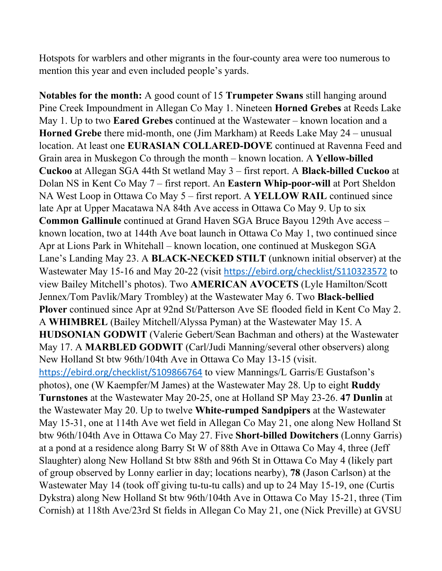Hotspots for warblers and other migrants in the four-county area were too numerous to mention this year and even included people's yards.

**Notables for the month:** A good count of 15 **Trumpeter Swans** still hanging around Pine Creek Impoundment in Allegan Co May 1. Nineteen **Horned Grebes** at Reeds Lake May 1. Up to two **Eared Grebes** continued at the Wastewater – known location and a **Horned Grebe** there mid-month, one (Jim Markham) at Reeds Lake May 24 – unusual location. At least one **EURASIAN COLLARED-DOVE** continued at Ravenna Feed and Grain area in Muskegon Co through the month – known location. A **Yellow-billed Cuckoo** at Allegan SGA 44th St wetland May 3 – first report. A **Black-billed Cuckoo** at Dolan NS in Kent Co May 7 – first report. An **Eastern Whip-poor-will** at Port Sheldon NA West Loop in Ottawa Co May 5 – first report. A **YELLOW RAIL** continued since late Apr at Upper Macatawa NA 84th Ave access in Ottawa Co May 9. Up to six **Common Gallinule** continued at Grand Haven SGA Bruce Bayou 129th Ave access – known location, two at 144th Ave boat launch in Ottawa Co May 1, two continued since Apr at Lions Park in Whitehall – known location, one continued at Muskegon SGA Lane's Landing May 23. A **BLACK-NECKED STILT** (unknown initial observer) at the Wastewater May 15-16 and May 20-22 (visit https://ebird.org/checklist/S110323572 to view Bailey Mitchell's photos). Two **AMERICAN AVOCETS** (Lyle Hamilton/Scott Jennex/Tom Pavlik/Mary Trombley) at the Wastewater May 6. Two **Black-bellied Plover** continued since Apr at 92nd St/Patterson Ave SE flooded field in Kent Co May 2. A **WHIMBREL** (Bailey Mitchell/Alyssa Pyman) at the Wastewater May 15. A **HUDSONIAN GODWIT** (Valerie Gebert/Sean Bachman and others) at the Wastewater May 17. A **MARBLED GODWIT** (Carl/Judi Manning/several other observers) along New Holland St btw 96th/104th Ave in Ottawa Co May 13-15 (visit. https://ebird.org/checklist/S109866764 to view Mannings/L Garris/E Gustafson's photos), one (W Kaempfer/M James) at the Wastewater May 28. Up to eight **Ruddy Turnstones** at the Wastewater May 20-25, one at Holland SP May 23-26. **47 Dunlin** at the Wastewater May 20. Up to twelve **White-rumped Sandpipers** at the Wastewater May 15-31, one at 114th Ave wet field in Allegan Co May 21, one along New Holland St btw 96th/104th Ave in Ottawa Co May 27. Five **Short-billed Dowitchers** (Lonny Garris) at a pond at a residence along Barry St W of 88th Ave in Ottawa Co May 4, three (Jeff Slaughter) along New Holland St btw 88th and 96th St in Ottawa Co May 4 (likely part of group observed by Lonny earlier in day; locations nearby), **78** (Jason Carlson) at the Wastewater May 14 (took off giving tu-tu-tu calls) and up to 24 May 15-19, one (Curtis Dykstra) along New Holland St btw 96th/104th Ave in Ottawa Co May 15-21, three (Tim Cornish) at 118th Ave/23rd St fields in Allegan Co May 21, one (Nick Preville) at GVSU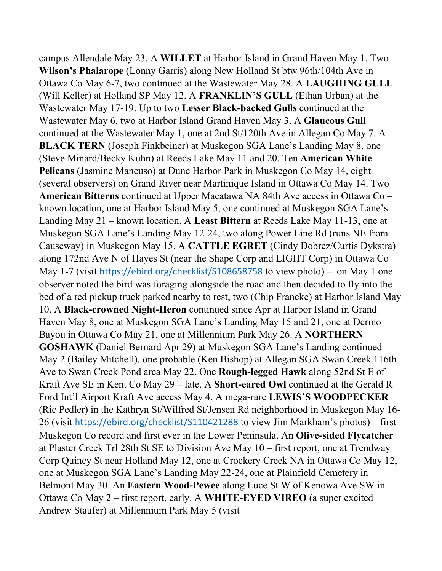campus Allendale May 23. A **WILLET** at Harbor Island in Grand Haven May 1. Two **Wilson's Phalarope** (Lonny Garris) along New Holland St btw 96th/104th Ave in Ottawa Co May 6-7, two continued at the Wastewater May 28. A **LAUGHING GULL** (Will Keller) at Holland SP May 12. A **FRANKLIN'S GULL** (Ethan Urban) at the Wastewater May 17-19. Up to two **Lesser Black-backed Gulls** continued at the Wastewater May 6, two at Harbor Island Grand Haven May 3. A **Glaucous Gull** continued at the Wastewater May 1, one at 2nd St/120th Ave in Allegan Co May 7. A **BLACK TERN** (Joseph Finkbeiner) at Muskegon SGA Lane's Landing May 8, one (Steve Minard/Becky Kuhn) at Reeds Lake May 11 and 20. Ten **American White Pelicans** (Jasmine Mancuso) at Dune Harbor Park in Muskegon Co May 14, eight (several observers) on Grand River near Martinique Island in Ottawa Co May 14. Two **American Bitterns** continued at Upper Macatawa NA 84th Ave access in Ottawa Co – known location, one at Harbor Island May 5, one continued at Muskegon SGA Lane's Landing May 21 – known location. A **Least Bittern** at Reeds Lake May 11-13, one at Muskegon SGA Lane's Landing May 12-24, two along Power Line Rd (runs NE from Causeway) in Muskegon May 15. A **CATTLE EGRET** (Cindy Dobrez/Curtis Dykstra) along 172nd Ave N of Hayes St (near the Shape Corp and LIGHT Corp) in Ottawa Co May 1-7 (visit https://ebird.org/checklist/S108658758 to view photo) – on May 1 one observer noted the bird was foraging alongside the road and then decided to fly into the bed of a red pickup truck parked nearby to rest, two (Chip Francke) at Harbor Island May 10. A **Black-crowned Night-Heron** continued since Apr at Harbor Island in Grand Haven May 8, one at Muskegon SGA Lane's Landing May 15 and 21, one at Dermo Bayou in Ottawa Co May 21, one at Millennium Park May 26. A **NORTHERN GOSHAWK** (Daniel Bernard Apr 29) at Muskegon SGA Lane's Landing continued May 2 (Bailey Mitchell), one probable (Ken Bishop) at Allegan SGA Swan Creek 116th Ave to Swan Creek Pond area May 22. One **Rough-legged Hawk** along 52nd St E of Kraft Ave SE in Kent Co May 29 – late. A **Short-eared Owl** continued at the Gerald R Ford Int'l Airport Kraft Ave access May 4. A mega-rare **LEWIS'S WOODPECKER** (Ric Pedler) in the Kathryn St/Wilfred St/Jensen Rd neighborhood in Muskegon May 16- 26 (visit https://ebird.org/checklist/S110421288 to view Jim Markham's photos) – first Muskegon Co record and first ever in the Lower Peninsula. An **Olive-sided Flycatcher** at Plaster Creek Trl 28th St SE to Division Ave May 10 – first report, one at Trendway Corp Quincy St near Holland May 12, one at Crockery Creek NA in Ottawa Co May 12, one at Muskegon SGA Lane's Landing May 22-24, one at Plainfield Cemetery in Belmont May 30. An **Eastern Wood-Pewee** along Luce St W of Kenowa Ave SW in Ottawa Co May 2 – first report, early. A **WHITE-EYED VIREO** (a super excited Andrew Staufer) at Millennium Park May 5 (visit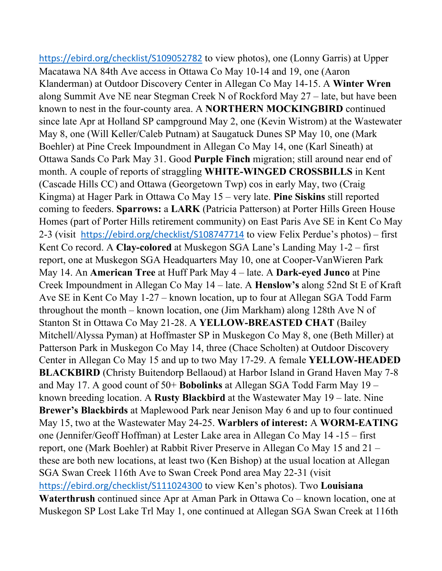https://ebird.org/checklist/S109052782 to view photos), one (Lonny Garris) at Upper Macatawa NA 84th Ave access in Ottawa Co May 10-14 and 19, one (Aaron Klanderman) at Outdoor Discovery Center in Allegan Co May 14-15. A **Winter Wren** along Summit Ave NE near Stegman Creek N of Rockford May 27 – late, but have been known to nest in the four-county area. A **NORTHERN MOCKINGBIRD** continued since late Apr at Holland SP campground May 2, one (Kevin Wistrom) at the Wastewater May 8, one (Will Keller/Caleb Putnam) at Saugatuck Dunes SP May 10, one (Mark Boehler) at Pine Creek Impoundment in Allegan Co May 14, one (Karl Sineath) at Ottawa Sands Co Park May 31. Good **Purple Finch** migration; still around near end of month. A couple of reports of straggling **WHITE-WINGED CROSSBILLS** in Kent (Cascade Hills CC) and Ottawa (Georgetown Twp) cos in early May, two (Craig Kingma) at Hager Park in Ottawa Co May 15 – very late. **Pine Siskins** still reported coming to feeders. **Sparrows:** a **LARK** (Patricia Patterson) at Porter Hills Green House Homes (part of Porter Hills retirement community) on East Paris Ave SE in Kent Co May 2-3 (visit https://ebird.org/checklist/S108747714 to view Felix Perdue's photos) – first Kent Co record. A **Clay-colored** at Muskegon SGA Lane's Landing May 1-2 – first report, one at Muskegon SGA Headquarters May 10, one at Cooper-VanWieren Park May 14. An **American Tree** at Huff Park May 4 – late. A **Dark-eyed Junco** at Pine Creek Impoundment in Allegan Co May 14 – late. A **Henslow's** along 52nd St E of Kraft Ave SE in Kent Co May 1-27 – known location, up to four at Allegan SGA Todd Farm throughout the month – known location, one (Jim Markham) along 128th Ave N of Stanton St in Ottawa Co May 21-28. A **YELLOW-BREASTED CHAT** (Bailey Mitchell/Alyssa Pyman) at Hoffmaster SP in Muskegon Co May 8, one (Beth Miller) at Patterson Park in Muskegon Co May 14, three (Chace Scholten) at Outdoor Discovery Center in Allegan Co May 15 and up to two May 17-29. A female **YELLOW-HEADED BLACKBIRD** (Christy Buitendorp Bellaoud) at Harbor Island in Grand Haven May 7-8 and May 17. A good count of 50+ **Bobolinks** at Allegan SGA Todd Farm May 19 – known breeding location. A **Rusty Blackbird** at the Wastewater May 19 – late. Nine **Brewer's Blackbirds** at Maplewood Park near Jenison May 6 and up to four continued May 15, two at the Wastewater May 24-25. **Warblers of interest:** A **WORM-EATING** one (Jennifer/Geoff Hoffman) at Lester Lake area in Allegan Co May 14 -15 – first report, one (Mark Boehler) at Rabbit River Preserve in Allegan Co May 15 and 21 – these are both new locations, at least two (Ken Bishop) at the usual location at Allegan SGA Swan Creek 116th Ave to Swan Creek Pond area May 22-31 (visit https://ebird.org/checklist/S111024300 to view Ken's photos). Two **Louisiana Waterthrush** continued since Apr at Aman Park in Ottawa Co – known location, one at Muskegon SP Lost Lake Trl May 1, one continued at Allegan SGA Swan Creek at 116th